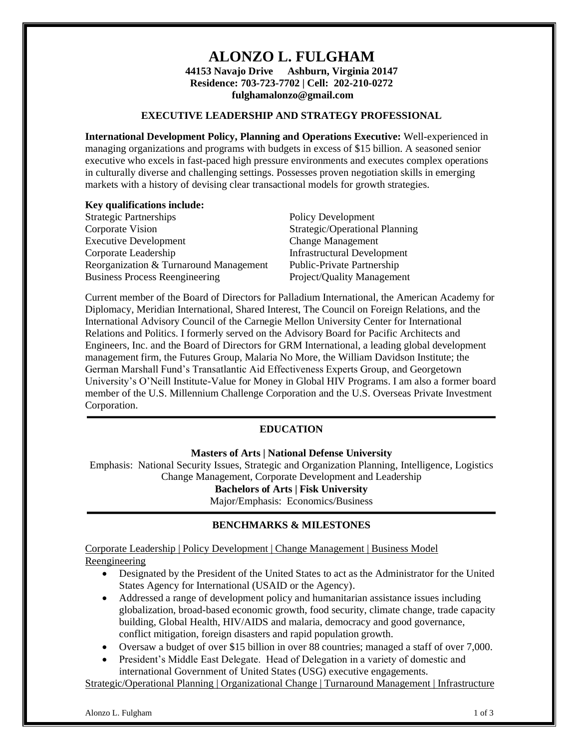# **ALONZO L. FULGHAM**

**44153 Navajo Drive Ashburn, Virginia 20147 Residence: 703-723-7702 | Cell: 202-210-0272 fulghamalonzo@gmail.com**

### **EXECUTIVE LEADERSHIP AND STRATEGY PROFESSIONAL**

**International Development Policy, Planning and Operations Executive:** Well-experienced in managing organizations and programs with budgets in excess of \$15 billion. A seasoned senior executive who excels in fast-paced high pressure environments and executes complex operations in culturally diverse and challenging settings. Possesses proven negotiation skills in emerging markets with a history of devising clear transactional models for growth strategies.

### **Key qualifications include:**

| <b>Policy Development</b>          |
|------------------------------------|
| Strategic/Operational Planning     |
| <b>Change Management</b>           |
| <b>Infrastructural Development</b> |
| <b>Public-Private Partnership</b>  |
| Project/Quality Management         |
|                                    |

Current member of the Board of Directors for Palladium International, the American Academy for Diplomacy, Meridian International, Shared Interest, The Council on Foreign Relations, and the International Advisory Council of the Carnegie Mellon University Center for International Relations and Politics. I formerly served on the Advisory Board for Pacific Architects and Engineers, Inc. and the Board of Directors for GRM International, a leading global development management firm, the Futures Group, Malaria No More, the William Davidson Institute; the German Marshall Fund's Transatlantic Aid Effectiveness Experts Group, and Georgetown University's O'Neill Institute-Value for Money in Global HIV Programs. I am also a former board member of the U.S. Millennium Challenge Corporation and the U.S. Overseas Private Investment Corporation.

### **EDUCATION**

**Masters of Arts | National Defense University**

Emphasis: National Security Issues, Strategic and Organization Planning, Intelligence, Logistics Change Management, Corporate Development and Leadership **Bachelors of Arts | Fisk University** 

Major/Emphasis: Economics/Business

### **BENCHMARKS & MILESTONES**

Corporate Leadership | Policy Development | Change Management | Business Model Reengineering

- Designated by the President of the United States to act as the Administrator for the United States Agency for International (USAID or the Agency).
- Addressed a range of development policy and humanitarian assistance issues including globalization, broad-based economic growth, food security, climate change, trade capacity building, Global Health, HIV/AIDS and malaria, democracy and good governance, conflict mitigation, foreign disasters and rapid population growth.
- Oversaw a budget of over \$15 billion in over 88 countries; managed a staff of over 7,000.
- President's Middle East Delegate. Head of Delegation in a variety of domestic and international Government of United States (USG) executive engagements.

Strategic/Operational Planning | Organizational Change | Turnaround Management | Infrastructure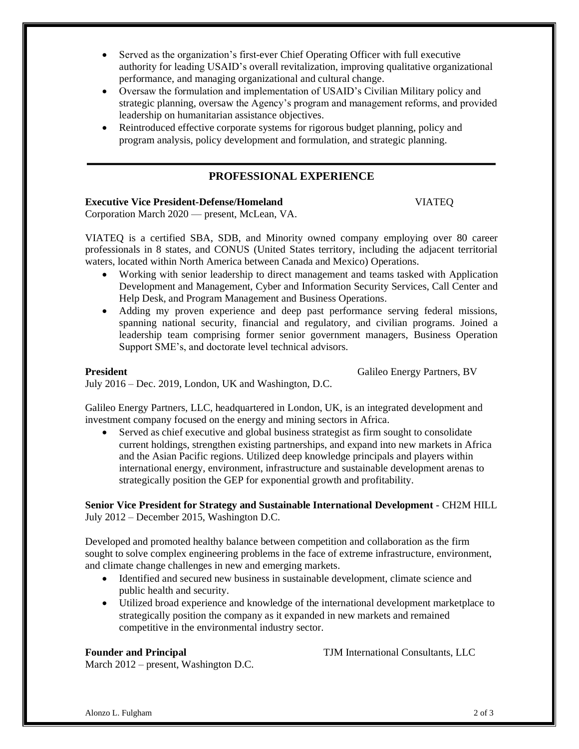- Served as the organization's first-ever Chief Operating Officer with full executive authority for leading USAID's overall revitalization, improving qualitative organizational performance, and managing organizational and cultural change.
- Oversaw the formulation and implementation of USAID's Civilian Military policy and strategic planning, oversaw the Agency's program and management reforms, and provided leadership on humanitarian assistance objectives.
- Reintroduced effective corporate systems for rigorous budget planning, policy and program analysis, policy development and formulation, and strategic planning.

# **PROFESSIONAL EXPERIENCE**

### **Executive Vice President-Defense/Homeland** VIATEQ

Corporation March 2020 — present, McLean, VA.

VIATEQ is a certified SBA, SDB, and Minority owned company employing over 80 career professionals in 8 states, and CONUS (United States territory, including the adjacent territorial waters, located within North America between Canada and Mexico) Operations.

- Working with senior leadership to direct management and teams tasked with Application Development and Management, Cyber and Information Security Services, Call Center and Help Desk, and Program Management and Business Operations.
- Adding my proven experience and deep past performance serving federal missions, spanning national security, financial and regulatory, and civilian programs. Joined a leadership team comprising former senior government managers, Business Operation Support SME's, and doctorate level technical advisors.

**[President](https://www.linkedin.com/search?search=&title=Vice+President+for+Strategy+and+Sustainable+International+Development&sortCriteria=R&keepFacets=true¤tTitle=CP&trk=prof-exp-title)** Galileo Energy Partners, BV

July 2016 – Dec. 2019, London, UK and Washington, D.C.

Galileo Energy Partners, LLC, headquartered in London, UK, is an integrated development and investment company focused on the energy and mining sectors in Africa.

• Served as chief executive and global business strategist as firm sought to consolidate current holdings, strengthen existing partnerships, and expand into new markets in Africa and the Asian Pacific regions. Utilized deep knowledge principals and players within international energy, environment, infrastructure and sustainable development arenas to strategically position the GEP for exponential growth and profitability.

**Senior Vice President for Strategy and Sustainable International Development** - CH2M HILL July 2012 – December 2015, Washington D.C.

Developed and promoted healthy balance between competition and collaboration as the firm sought to solve complex engineering problems in the face of extreme infrastructure, environment, and climate change challenges in new and emerging markets.

- Identified and secured new business in sustainable development, climate science and public health and security.
- Utilized broad experience and knowledge of the international development marketplace to strategically position the company as it expanded in new markets and remained competitive in the environmental industry sector.

March 2012 – present, Washington D.C.

**Founder and [Principal](https://www.linkedin.com/search?search=&title=Founder+and+Principal&sortCriteria=R&keepFacets=true¤tTitle=CP&trk=prof-exp-title)** TJM [International](https://www.linkedin.com/search?search=&company=TJM+International+Consultants%2C+LLC&sortCriteria=R&keepFacets=true&trk=prof-exp-company-name) Consultants, LLC